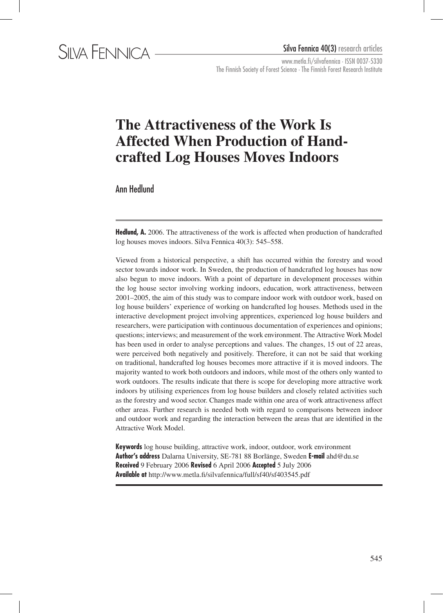www.metla.fi/silvafennica · ISSN 0037-5330 The Finnish Society of Forest Science · The Finnish Forest Research Institute

# **The Attractiveness of the Work Is Affected When Production of Handcrafted Log Houses Moves Indoors**

Ann Hedlund

**Hedlund, A.** 2006. The attractiveness of the work is affected when production of handcrafted log houses moves indoors. Silva Fennica 40(3): 545–558.

Viewed from a historical perspective, a shift has occurred within the forestry and wood sector towards indoor work. In Sweden, the production of handcrafted log houses has now also begun to move indoors. With a point of departure in development processes within the log house sector involving working indoors, education, work attractiveness, between 2001–2005, the aim of this study was to compare indoor work with outdoor work, based on log house builders' experience of working on handcrafted log houses. Methods used in the interactive development project involving apprentices, experienced log house builders and researchers, were participation with continuous documentation of experiences and opinions; questions; interviews; and measurement of the work environment. The Attractive Work Model has been used in order to analyse perceptions and values. The changes, 15 out of 22 areas, were perceived both negatively and positively. Therefore, it can not be said that working on traditional, handcrafted log houses becomes more attractive if it is moved indoors. The majority wanted to work both outdoors and indoors, while most of the others only wanted to work outdoors. The results indicate that there is scope for developing more attractive work indoors by utilising experiences from log house builders and closely related activities such as the forestry and wood sector. Changes made within one area of work attractiveness affect other areas. Further research is needed both with regard to comparisons between indoor and outdoor work and regarding the interaction between the areas that are identified in the Attractive Work Model.

**Keywords** log house building, attractive work, indoor, outdoor, work environment **Author's address** Dalarna University, SE-781 88 Borlänge, Sweden **E-mail** ahd@du.se **Received** 9 February 2006 **Revised** 6 April 2006 **Accepted** 5 July 2006 **Available at** http://www.metla.fi/silvafennica/full/sf40/sf403545.pdf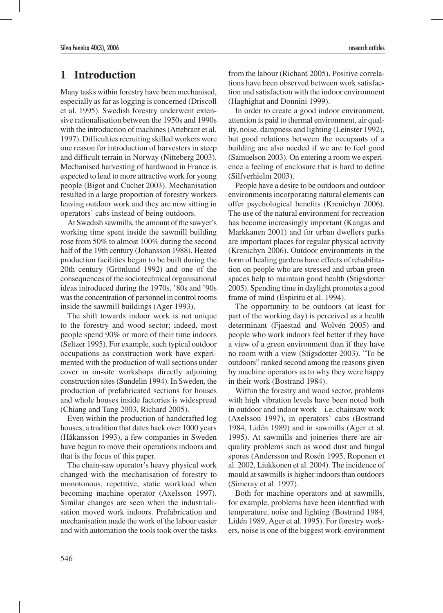## **1 Introduction**

Many tasks within forestry have been mechanised, especially as far as logging is concerned (Driscoll et al. 1995). Swedish forestry underwent extensive rationalisation between the 1950s and 1990s with the introduction of machines (Attebrant et al. 1997). Difficulties recruiting skilled workers were one reason for introduction of harvesters in steep and difficult terrain in Norway (Nitteberg 2003). Mechanised harvesting of hardwood in France is expected to lead to more attractive work for young people (Bigot and Cuchet 2003). Mechanisation resulted in a large proportion of forestry workers leaving outdoor work and they are now sitting in operators' cabs instead of being outdoors.

At Swedish sawmills, the amount of the sawyer's working time spent inside the sawmill building rose from 50% to almost 100% during the second half of the 19th century (Johansson 1988). Heated production facilities began to be built during the 20th century (Grönlund 1992) and one of the consequences of the sociotechnical organisational ideas introduced during the 1970s, '80s and '90s was the concentration of personnel in control rooms inside the sawmill buildings (Ager 1993).

The shift towards indoor work is not unique to the forestry and wood sector; indeed, most people spend 90% or more of their time indoors (Seltzer 1995). For example, such typical outdoor occupations as construction work have experimented with the production of wall sections under cover in on-site workshops directly adjoining construction sites (Sundelin 1994). In Sweden, the production of prefabricated sections for houses and whole houses inside factories is widespread (Chiang and Tang 2003, Richard 2005).

Even within the production of handcrafted log houses, a tradition that dates back over 1000 years (Håkansson 1993), a few companies in Sweden have begun to move their operations indoors and that is the focus of this paper.

The chain-saw operator's heavy physical work changed with the mechanisation of forestry to monotonous, repetitive, static workload when becoming machine operator (Axelsson 1997). Similar changes are seen when the industrialisation moved work indoors. Prefabrication and mechanisation made the work of the labour easier and with automation the tools took over the tasks from the labour (Richard 2005). Positive correlations have been observed between work satisfaction and satisfaction with the indoor environment (Haghighat and Donnini 1999).

In order to create a good indoor environment, attention is paid to thermal environment, air quality, noise, dampness and lighting (Leinster 1992), but good relations between the occupants of a building are also needed if we are to feel good (Samuelson 2003). On entering a room we experience a feeling of enclosure that is hard to define (Silfverhielm 2003).

People have a desire to be outdoors and outdoor environments incorporating natural elements can offer psychological benefits (Krenichyn 2006). The use of the natural environment for recreation has become increasingly important (Kangas and Markkanen 2001) and for urban dwellers parks are important places for regular physical activity (Krenichyn 2006). Outdoor environments in the form of healing gardens have effects of rehabilitation on people who are stressed and urban green spaces help to maintain good health (Stigsdotter 2005). Spending time in daylight promotes a good frame of mind (Espiritu et al. 1994).

The opportunity to be outdoors (at least for part of the working day) is perceived as a health determinant (Fjaestad and Wolvén 2005) and people who work indoors feel better if they have a view of a green environment than if they have no room with a view (Stigsdotter 2003). "To be outdoors" ranked second among the reasons given by machine operators as to why they were happy in their work (Bostrand 1984).

Within the forestry and wood sector, problems with high vibration levels have been noted both in outdoor and indoor work – i.e. chainsaw work (Axelsson 1997), in operators' cabs (Bostrand 1984, Lidén 1989) and in sawmills (Ager et al. 1995). At sawmills and joineries there are airquality problems such as wood dust and fungal spores (Andersson and Rosén 1995, Roponen et al. 2002, Liukkonen et al. 2004). The incidence of mould at sawmills is higher indoors than outdoors (Simeray et al. 1997).

Both for machine operators and at sawmills, for example, problems have been identified with temperature, noise and lighting (Bostrand 1984, Lidén 1989, Ager et al. 1995). For forestry workers, noise is one of the biggest work-environment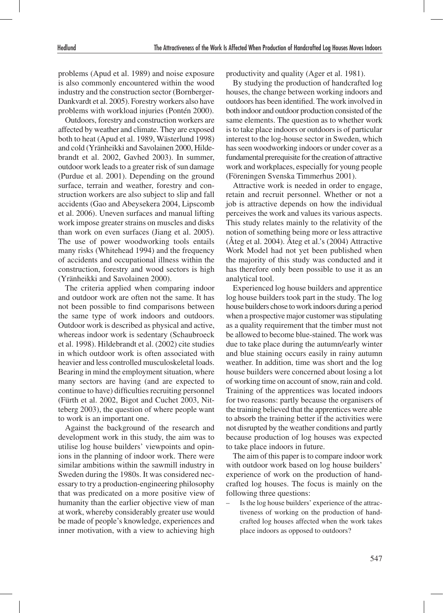problems (Apud et al. 1989) and noise exposure is also commonly encountered within the wood industry and the construction sector (Bornberger-Dankvardt et al. 2005). Forestry workers also have problems with workload injuries (Pontén 2000).

Outdoors, forestry and construction workers are affected by weather and climate. They are exposed both to heat (Apud et al. 1989, Wästerlund 1998) and cold (Yränheikki and Savolainen 2000, Hildebrandt et al. 2002, Gavhed 2003). In summer, outdoor work leads to a greater risk of sun damage (Purdue et al. 2001). Depending on the ground surface, terrain and weather, forestry and construction workers are also subject to slip and fall accidents (Gao and Abeysekera 2004, Lipscomb et al. 2006). Uneven surfaces and manual lifting work impose greater strains on muscles and disks than work on even surfaces (Jiang et al. 2005). The use of power woodworking tools entails many risks (Whitehead 1994) and the frequency of accidents and occupational illness within the construction, forestry and wood sectors is high (Yränheikki and Savolainen 2000).

The criteria applied when comparing indoor and outdoor work are often not the same. It has not been possible to find comparisons between the same type of work indoors and outdoors. Outdoor work is described as physical and active, whereas indoor work is sedentary (Schaubroeck et al. 1998). Hildebrandt et al. (2002) cite studies in which outdoor work is often associated with heavier and less controlled musculoskeletal loads. Bearing in mind the employment situation, where many sectors are having (and are expected to continue to have) difficulties recruiting personnel (Fürth et al. 2002, Bigot and Cuchet 2003, Nitteberg 2003), the question of where people want to work is an important one.

Against the background of the research and development work in this study, the aim was to utilise log house builders' viewpoints and opinions in the planning of indoor work. There were similar ambitions within the sawmill industry in Sweden during the 1980s. It was considered necessary to try a production-engineering philosophy that was predicated on a more positive view of humanity than the earlier objective view of man at work, whereby considerably greater use would be made of people's knowledge, experiences and inner motivation, with a view to achieving high

productivity and quality (Ager et al. 1981).

By studying the production of handcrafted log houses, the change between working indoors and outdoors has been identified. The work involved in both indoor and outdoor production consisted of the same elements. The question as to whether work is to take place indoors or outdoors is of particular interest to the log-house sector in Sweden, which has seen woodworking indoors or under cover as a fundamental prerequisite for the creation of attractive work and workplaces, especially for young people (Föreningen Svenska Timmerhus 2001).

Attractive work is needed in order to engage, retain and recruit personnel. Whether or not a job is attractive depends on how the individual perceives the work and values its various aspects. This study relates mainly to the relativity of the notion of something being more or less attractive (Åteg et al. 2004). Åteg et al.'s (2004) Attractive Work Model had not yet been published when the majority of this study was conducted and it has therefore only been possible to use it as an analytical tool.

Experienced log house builders and apprentice log house builders took part in the study. The log house builders chose to work indoors during a period when a prospective major customer was stipulating as a quality requirement that the timber must not be allowed to become blue-stained. The work was due to take place during the autumn/early winter and blue staining occurs easily in rainy autumn weather. In addition, time was short and the log house builders were concerned about losing a lot of working time on account of snow, rain and cold. Training of the apprentices was located indoors for two reasons: partly because the organisers of the training believed that the apprentices were able to absorb the training better if the activities were not disrupted by the weather conditions and partly because production of log houses was expected to take place indoors in future.

The aim of this paper is to compare indoor work with outdoor work based on log house builders' experience of work on the production of handcrafted log houses. The focus is mainly on the following three questions:

Is the log house builders' experience of the attractiveness of working on the production of handcrafted log houses affected when the work takes place indoors as opposed to outdoors?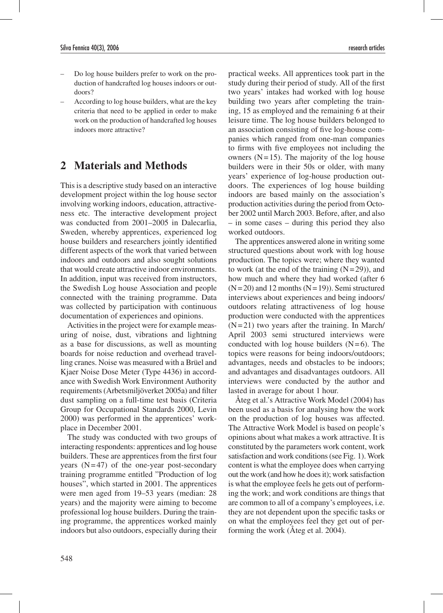- Do log house builders prefer to work on the production of handcrafted log houses indoors or outdoors?
- According to log house builders, what are the key criteria that need to be applied in order to make work on the production of handcrafted log houses indoors more attractive?

## **2 Materials and Methods**

This is a descriptive study based on an interactive development project within the log house sector involving working indoors, education, attractiveness etc. The interactive development project was conducted from 2001–2005 in Dalecarlia, Sweden, whereby apprentices, experienced log house builders and researchers jointly identified different aspects of the work that varied between indoors and outdoors and also sought solutions that would create attractive indoor environments. In addition, input was received from instructors, the Swedish Log house Association and people connected with the training programme. Data was collected by participation with continuous documentation of experiences and opinions.

Activities in the project were for example measuring of noise, dust, vibrations and lightning as a base for discussions, as well as mounting boards for noise reduction and overhead travelling cranes. Noise was measured with a Brüel and Kjaer Noise Dose Meter (Type 4436) in accordance with Swedish Work Environment Authority requirements (Arbetsmiljöverket 2005a) and filter dust sampling on a full-time test basis (Criteria Group for Occupational Standards 2000, Levin 2000) was performed in the apprentices' workplace in December 2001.

The study was conducted with two groups of interacting respondents: apprentices and log house builders. These are apprentices from the first four years  $(N=47)$  of the one-year post-secondary training programme entitled "Production of log houses", which started in 2001. The apprentices were men aged from 19–53 years (median: 28 years) and the majority were aiming to become professional log house builders. During the training programme, the apprentices worked mainly indoors but also outdoors, especially during their

practical weeks. All apprentices took part in the study during their period of study. All of the first two years' intakes had worked with log house building two years after completing the training, 15 as employed and the remaining 6 at their leisure time. The log house builders belonged to an association consisting of five log-house companies which ranged from one-man companies to firms with five employees not including the owners  $(N=15)$ . The majority of the log house builders were in their 50s or older, with many years' experience of log-house production outdoors. The experiences of log house building indoors are based mainly on the association's production activities during the period from October 2002 until March 2003. Before, after, and also – in some cases – during this period they also worked outdoors.

The apprentices answered alone in writing some structured questions about work with log house production. The topics were; where they wanted to work (at the end of the training  $(N=29)$ ), and how much and where they had worked (after 6  $(N=20)$  and 12 months  $(N=19)$ ). Semi structured interviews about experiences and being indoors/ outdoors relating attractiveness of log house production were conducted with the apprentices  $(N=21)$  two years after the training. In March/ April 2003 semi structured interviews were conducted with log house builders  $(N=6)$ . The topics were reasons for being indoors/outdoors; advantages, needs and obstacles to be indoors; and advantages and disadvantages outdoors. All interviews were conducted by the author and lasted in average for about 1 hour.

Åteg et al.'s Attractive Work Model (2004) has been used as a basis for analysing how the work on the production of log houses was affected. The Attractive Work Model is based on people's opinions about what makes a work attractive. It is constituted by the parameters work content, work satisfaction and work conditions (see Fig. 1). Work content is what the employee does when carrying out the work (and how he does it); work satisfaction is what the employee feels he gets out of performing the work; and work conditions are things that are common to all of a company's employees, i.e. they are not dependent upon the specific tasks or on what the employees feel they get out of performing the work (Åteg et al. 2004).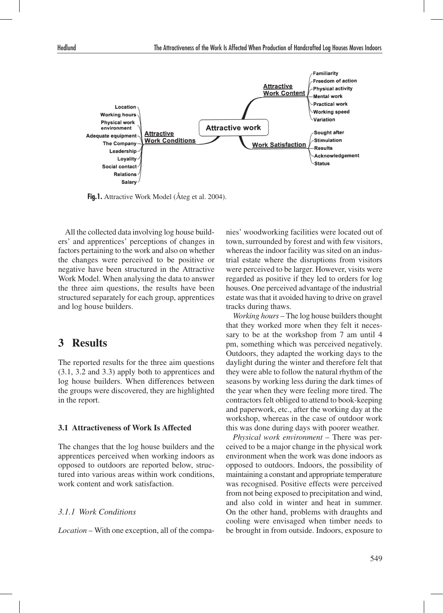

Fig.1. Attractive Work Model (Åteg et al. 2004).

All the collected data involving log house builders' and apprentices' perceptions of changes in factors pertaining to the work and also on whether the changes were perceived to be positive or negative have been structured in the Attractive Work Model. When analysing the data to answer the three aim questions, the results have been structured separately for each group, apprentices and log house builders.

### **3 Results**

The reported results for the three aim questions (3.1, 3.2 and 3.3) apply both to apprentices and log house builders. When differences between the groups were discovered, they are highlighted in the report.

#### **3.1 Attractiveness of Work Is Affected**

The changes that the log house builders and the apprentices perceived when working indoors as opposed to outdoors are reported below, structured into various areas within work conditions, work content and work satisfaction.

#### *3.1.1 Work Conditions*

*Location* – With one exception, all of the compa-

nies' woodworking facilities were located out of town, surrounded by forest and with few visitors, whereas the indoor facility was sited on an industrial estate where the disruptions from visitors were perceived to be larger. However, visits were regarded as positive if they led to orders for log houses. One perceived advantage of the industrial estate was that it avoided having to drive on gravel tracks during thaws.

*Working hours* – The log house builders thought that they worked more when they felt it necessary to be at the workshop from 7 am until 4 pm, something which was perceived negatively. Outdoors, they adapted the working days to the daylight during the winter and therefore felt that they were able to follow the natural rhythm of the seasons by working less during the dark times of the year when they were feeling more tired. The contractors felt obliged to attend to book-keeping and paperwork, etc., after the working day at the workshop, whereas in the case of outdoor work this was done during days with poorer weather.

*Physical work environment* – There was perceived to be a major change in the physical work environment when the work was done indoors as opposed to outdoors. Indoors, the possibility of maintaining a constant and appropriate temperature was recognised. Positive effects were perceived from not being exposed to precipitation and wind, and also cold in winter and heat in summer. On the other hand, problems with draughts and cooling were envisaged when timber needs to be brought in from outside. Indoors, exposure to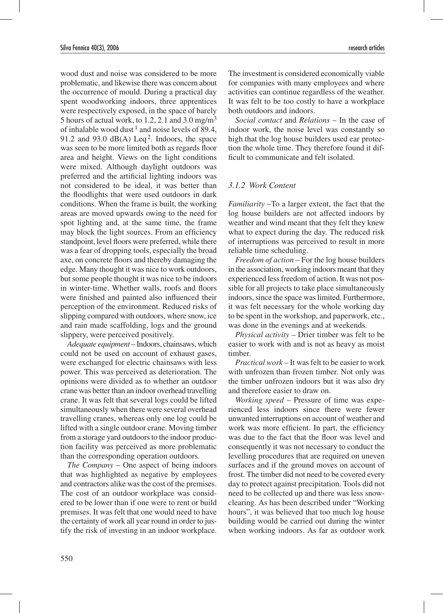wood dust and noise was considered to be more problematic, and likewise there was concern about the occurrence of mould. During a practical day spent woodworking indoors, three apprentices were respectively exposed, in the space of barely 5 hours of actual work, to 1.2, 2.1 and  $3.0 \text{ mg/m}^3$ of inhalable wood dust  $1$  and noise levels of 89.4, 91.2 and 93.0  $dB(A)$  Leq<sup>2</sup>. Indoors, the space was seen to be more limited both as regards floor area and height. Views on the light conditions were mixed. Although daylight outdoors was preferred and the artificial lighting indoors was not considered to be ideal, it was better than the floodlights that were used outdoors in dark conditions. When the frame is built, the working areas are moved upwards owing to the need for spot lighting and, at the same time, the frame may block the light sources. From an efficiency standpoint, level floors were preferred, while there was a fear of dropping tools, especially the broad axe, on concrete floors and thereby damaging the edge. Many thought it was nice to work outdoors, but some people thought it was nice to be indoors in winter-time. Whether walls, roofs and floors were finished and painted also influenced their perception of the environment. Reduced risks of slipping compared with outdoors, where snow, ice and rain made scaffolding, logs and the ground slippery, were perceived positively.

*Adequate equipment* – Indoors, chainsaws, which could not be used on account of exhaust gases, were exchanged for electric chainsaws with less power. This was perceived as deterioration. The opinions were divided as to whether an outdoor crane was better than an indoor overhead travelling crane. It was felt that several logs could be lifted simultaneously when there were several overhead travelling cranes, whereas only one log could be lifted with a single outdoor crane. Moving timber from a storage yard outdoors to the indoor production facility was perceived as more problematic than the corresponding operation outdoors.

*The Company* – One aspect of being indoors that was highlighted as negative by employees and contractors alike was the cost of the premises. The cost of an outdoor workplace was considered to be lower than if one were to rent or build premises. It was felt that one would need to have the certainty of work all year round in order to justify the risk of investing in an indoor workplace.

The investment is considered economically viable for companies with many employees and where activities can continue regardless of the weather. It was felt to be too costly to have a workplace both outdoors and indoors.

*Social contact* and *Relations* – In the case of indoor work, the noise level was constantly so high that the log house builders used ear protection the whole time. They therefore found it difficult to communicate and felt isolated.

#### *3.1.2 Work Content*

*Familiarity* –To a larger extent, the fact that the log house builders are not affected indoors by weather and wind meant that they felt they knew what to expect during the day. The reduced risk of interruptions was perceived to result in more reliable time scheduling.

*Freedom of action* – For the log house builders in the association, working indoors meant that they experienced less freedom of action. It was not possible for all projects to take place simultaneously indoors, since the space was limited. Furthermore, it was felt necessary for the whole working day to be spent in the workshop, and paperwork, etc., was done in the evenings and at weekends.

*Physical activity* – Drier timber was felt to be easier to work with and is not as heavy as moist timber.

*Practical work* – It was felt to be easier to work with unfrozen than frozen timber. Not only was the timber unfrozen indoors but it was also dry and therefore easier to draw on.

*Working speed* – Pressure of time was experienced less indoors since there were fewer unwanted interruptions on account of weather and work was more efficient. In part, the efficiency was due to the fact that the floor was level and consequently it was not necessary to conduct the levelling procedures that are required on uneven surfaces and if the ground moves on account of frost. The timber did not need to be covered every day to protect against precipitation. Tools did not need to be collected up and there was less snowclearing. As has been described under "Working hours", it was believed that too much log house building would be carried out during the winter when working indoors. As far as outdoor work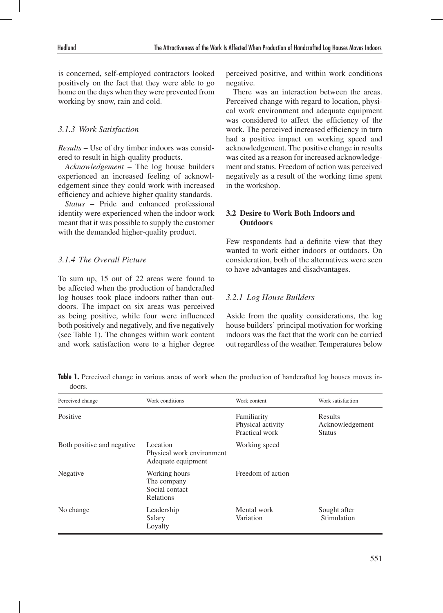is concerned, self-employed contractors looked positively on the fact that they were able to go home on the days when they were prevented from working by snow, rain and cold.

#### *3.1.3 Work Satisfaction*

*Results* – Use of dry timber indoors was considered to result in high-quality products.

*Acknowledgement* – The log house builders experienced an increased feeling of acknowledgement since they could work with increased efficiency and achieve higher quality standards.

*Status* – Pride and enhanced professional identity were experienced when the indoor work meant that it was possible to supply the customer with the demanded higher-quality product.

#### *3.1.4 The Overall Picture*

To sum up, 15 out of 22 areas were found to be affected when the production of handcrafted log houses took place indoors rather than outdoors. The impact on six areas was perceived as being positive, while four were influenced both positively and negatively, and five negatively (see Table 1). The changes within work content and work satisfaction were to a higher degree

perceived positive, and within work conditions negative.

There was an interaction between the areas. Perceived change with regard to location, physical work environment and adequate equipment was considered to affect the efficiency of the work. The perceived increased efficiency in turn had a positive impact on working speed and acknowledgement. The positive change in results was cited as a reason for increased acknowledgement and status. Freedom of action was perceived negatively as a result of the working time spent in the workshop.

#### **3.2 Desire to Work Both Indoors and Outdoors**

Few respondents had a definite view that they wanted to work either indoors or outdoors. On consideration, both of the alternatives were seen to have advantages and disadvantages.

#### *3.2.1 Log House Builders*

Aside from the quality considerations, the log house builders' principal motivation for working indoors was the fact that the work can be carried out regardless of the weather. Temperatures below

**Table 1.** Perceived change in various areas of work when the production of handcrafted log houses moves indoors.

| Perceived change           | Work conditions                                                    | Work content                                       | Work satisfaction                                  |
|----------------------------|--------------------------------------------------------------------|----------------------------------------------------|----------------------------------------------------|
| Positive                   |                                                                    | Familiarity<br>Physical activity<br>Practical work | <b>Results</b><br>Acknowledgement<br><b>Status</b> |
| Both positive and negative | Location<br>Physical work environment<br>Adequate equipment        | Working speed                                      |                                                    |
| Negative                   | Working hours<br>The company<br>Social contact<br><b>Relations</b> | Freedom of action                                  |                                                    |
| No change                  | Leadership<br>Salary<br>Loyalty                                    | Mental work<br>Variation                           | Sought after<br>Stimulation                        |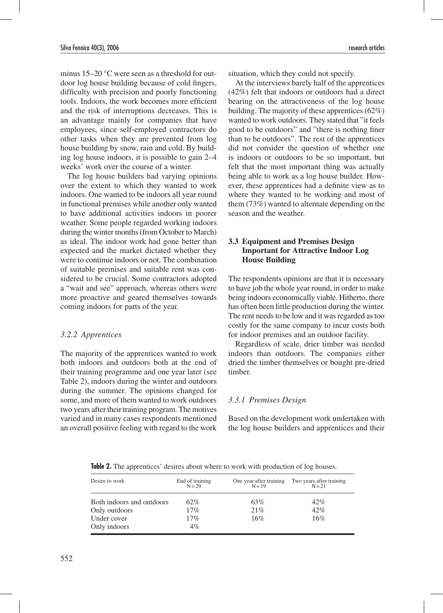minus 15–20 °C were seen as a threshold for outdoor log house building because of cold fingers, difficulty with precision and poorly functioning tools. Indoors, the work becomes more efficient and the risk of interruptions decreases. This is an advantage mainly for companies that have employees, since self-employed contractors do other tasks when they are prevented from log house building by snow, rain and cold. By building log house indoors, it is possible to gain 2–4 weeks' work over the course of a winter.

The log house builders had varying opinions over the extent to which they wanted to work indoors. One wanted to be indoors all year round in functional premises while another only wanted to have additional activities indoors in poorer weather. Some people regarded working indoors during the winter months (from October to March) as ideal. The indoor work had gone better than expected and the market dictated whether they were to continue indoors or not. The combination of suitable premises and suitable rent was considered to be crucial. Some contractors adopted a "wait and see" approach, whereas others were more proactive and geared themselves towards coming indoors for parts of the year.

#### *3.2.2 Apprentices*

The majority of the apprentices wanted to work both indoors and outdoors both at the end of their training programme and one year later (see Table 2), indoors during the winter and outdoors during the summer. The opinions changed for some, and more of them wanted to work outdoors two years after their training program. The motives varied and in many cases respondents mentioned an overall positive feeling with regard to the work

situation, which they could not specify.

At the interviews barely half of the apprentices (42%) felt that indoors or outdoors had a direct bearing on the attractiveness of the log house building. The majority of these apprentices (62%) wanted to work outdoors. They stated that "it feels good to be outdoors" and "there is nothing finer than to be outdoors". The rest of the apprentices did not consider the question of whether one is indoors or outdoors to be so important, but felt that the most important thing was actually being able to work as a log house builder. However, these apprentices had a definite view as to where they wanted to be working and most of them (73%) wanted to alternate depending on the season and the weather.

#### **3.3 Equipment and Premises Design Important for Attractive Indoor Log House Building**

The respondents opinions are that it is necessary to have job the whole year round, in order to make being indoors economically viable. Hitherto, there has often been little production during the winter. The rent needs to be low and it was regarded as too costly for the same company to incur costs both for indoor premises and an outdoor facility.

Regardless of scale, drier timber was needed indoors than outdoors. The companies either dried the timber themselves or bought pre-dried timber.

### *3.3.1 Premises Design*

Based on the development work undertaken with the log house builders and apprentices and their

| Desire to work            | End of training<br>$N = 29$ | One year after training<br>$N = 19$ | Two years after training<br>$N = 21$ |
|---------------------------|-----------------------------|-------------------------------------|--------------------------------------|
| Both indoors and outdoors | 62%                         | 63%                                 | 42%                                  |
| Only outdoors             | 17%                         | 21%                                 | 42%                                  |
| Under cover               | 17%                         | 16%                                 | 16%                                  |
| Only indoors              | $4\%$                       |                                     |                                      |

**Table 2.** The apprentices' desires about where to work with production of log houses.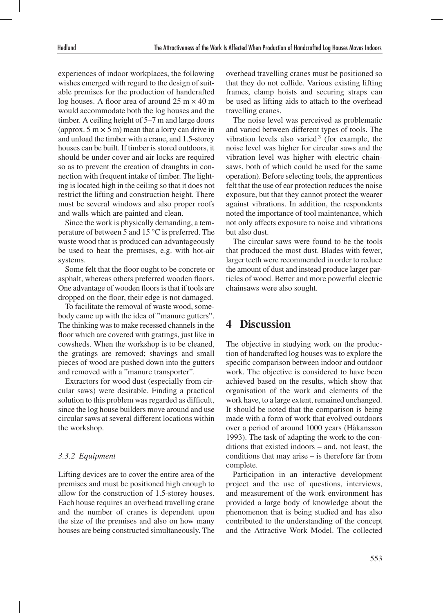experiences of indoor workplaces, the following wishes emerged with regard to the design of suitable premises for the production of handcrafted log houses. A floor area of around  $25 \text{ m} \times 40 \text{ m}$ would accommodate both the log houses and the timber. A ceiling height of 5–7 m and large doors (approx.  $5 \text{ m} \times 5 \text{ m}$ ) mean that a lorry can drive in and unload the timber with a crane, and 1.5-storey houses can be built. If timber is stored outdoors, it should be under cover and air locks are required so as to prevent the creation of draughts in connection with frequent intake of timber. The lighting is located high in the ceiling so that it does not restrict the lifting and construction height. There must be several windows and also proper roofs and walls which are painted and clean.

Since the work is physically demanding, a temperature of between 5 and 15 °C is preferred. The waste wood that is produced can advantageously be used to heat the premises, e.g. with hot-air systems.

Some felt that the floor ought to be concrete or asphalt, whereas others preferred wooden floors. One advantage of wooden floors is that if tools are dropped on the floor, their edge is not damaged.

To facilitate the removal of waste wood, somebody came up with the idea of "manure gutters". The thinking was to make recessed channels in the floor which are covered with gratings, just like in cowsheds. When the workshop is to be cleaned, the gratings are removed; shavings and small pieces of wood are pushed down into the gutters and removed with a "manure transporter".

Extractors for wood dust (especially from circular saws) were desirable. Finding a practical solution to this problem was regarded as difficult, since the log house builders move around and use circular saws at several different locations within the workshop.

#### *3.3.2 Equipment*

Lifting devices are to cover the entire area of the premises and must be positioned high enough to allow for the construction of 1.5-storey houses. Each house requires an overhead travelling crane and the number of cranes is dependent upon the size of the premises and also on how many houses are being constructed simultaneously. The

overhead travelling cranes must be positioned so that they do not collide. Various existing lifting frames, clamp hoists and securing straps can be used as lifting aids to attach to the overhead travelling cranes.

The noise level was perceived as problematic and varied between different types of tools. The vibration levels also varied  $3$  (for example, the noise level was higher for circular saws and the vibration level was higher with electric chainsaws, both of which could be used for the same operation). Before selecting tools, the apprentices felt that the use of ear protection reduces the noise exposure, but that they cannot protect the wearer against vibrations. In addition, the respondents noted the importance of tool maintenance, which not only affects exposure to noise and vibrations but also dust.

The circular saws were found to be the tools that produced the most dust. Blades with fewer, larger teeth were recommended in order to reduce the amount of dust and instead produce larger particles of wood. Better and more powerful electric chainsaws were also sought.

### **4 Discussion**

The objective in studying work on the production of handcrafted log houses was to explore the specific comparison between indoor and outdoor work. The objective is considered to have been achieved based on the results, which show that organisation of the work and elements of the work have, to a large extent, remained unchanged. It should be noted that the comparison is being made with a form of work that evolved outdoors over a period of around 1000 years (Håkansson 1993). The task of adapting the work to the conditions that existed indoors – and, not least, the conditions that may arise – is therefore far from complete.

Participation in an interactive development project and the use of questions, interviews, and measurement of the work environment has provided a large body of knowledge about the phenomenon that is being studied and has also contributed to the understanding of the concept and the Attractive Work Model. The collected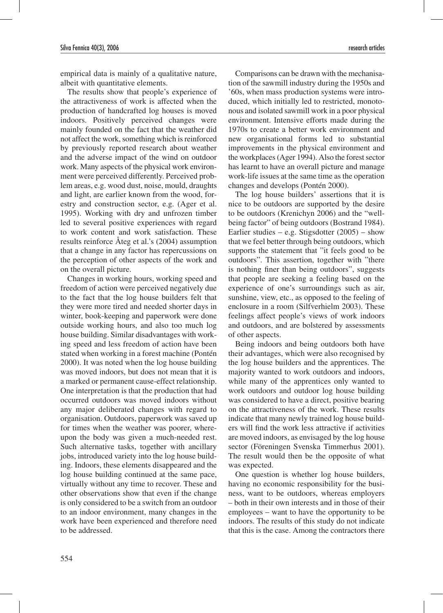empirical data is mainly of a qualitative nature, albeit with quantitative elements.

The results show that people's experience of the attractiveness of work is affected when the production of handcrafted log houses is moved indoors. Positively perceived changes were mainly founded on the fact that the weather did not affect the work, something which is reinforced by previously reported research about weather and the adverse impact of the wind on outdoor work. Many aspects of the physical work environment were perceived differently. Perceived problem areas, e.g. wood dust, noise, mould, draughts and light, are earlier known from the wood, forestry and construction sector, e.g. (Ager et al. 1995). Working with dry and unfrozen timber led to several positive experiences with regard to work content and work satisfaction. These results reinforce Åteg et al.'s (2004) assumption that a change in any factor has repercussions on the perception of other aspects of the work and on the overall picture.

Changes in working hours, working speed and freedom of action were perceived negatively due to the fact that the log house builders felt that they were more tired and needed shorter days in winter, book-keeping and paperwork were done outside working hours, and also too much log house building. Similar disadvantages with working speed and less freedom of action have been stated when working in a forest machine (Pontén 2000). It was noted when the log house building was moved indoors, but does not mean that it is a marked or permanent cause-effect relationship. One interpretation is that the production that had occurred outdoors was moved indoors without any major deliberated changes with regard to organisation. Outdoors, paperwork was saved up for times when the weather was poorer, whereupon the body was given a much-needed rest. Such alternative tasks, together with ancillary jobs, introduced variety into the log house building. Indoors, these elements disappeared and the log house building continued at the same pace, virtually without any time to recover. These and other observations show that even if the change is only considered to be a switch from an outdoor to an indoor environment, many changes in the work have been experienced and therefore need to be addressed.

Comparisons can be drawn with the mechanisation of the sawmill industry during the 1950s and '60s, when mass production systems were introduced, which initially led to restricted, monotonous and isolated sawmill work in a poor physical environment. Intensive efforts made during the 1970s to create a better work environment and new organisational forms led to substantial improvements in the physical environment and the workplaces (Ager 1994). Also the forest sector has learnt to have an overall picture and manage work-life issues at the same time as the operation changes and develops (Pontén 2000).

The log house builders' assertions that it is nice to be outdoors are supported by the desire to be outdoors (Krenichyn 2006) and the "wellbeing factor" of being outdoors (Bostrand 1984). Earlier studies – e.g. Stigsdotter  $(2005)$  – show that we feel better through being outdoors, which supports the statement that "it feels good to be outdoors". This assertion, together with "there is nothing finer than being outdoors", suggests that people are seeking a feeling based on the experience of one's surroundings such as air, sunshine, view, etc., as opposed to the feeling of enclosure in a room (Silfverhielm 2003). These feelings affect people's views of work indoors and outdoors, and are bolstered by assessments of other aspects.

Being indoors and being outdoors both have their advantages, which were also recognised by the log house builders and the apprentices. The majority wanted to work outdoors and indoors, while many of the apprentices only wanted to work outdoors and outdoor log house building was considered to have a direct, positive bearing on the attractiveness of the work. These results indicate that many newly trained log house builders will find the work less attractive if activities are moved indoors, as envisaged by the log house sector (Föreningen Svenska Timmerhus 2001). The result would then be the opposite of what was expected.

One question is whether log house builders, having no economic responsibility for the business, want to be outdoors, whereas employers – both in their own interests and in those of their employees – want to have the opportunity to be indoors. The results of this study do not indicate that this is the case. Among the contractors there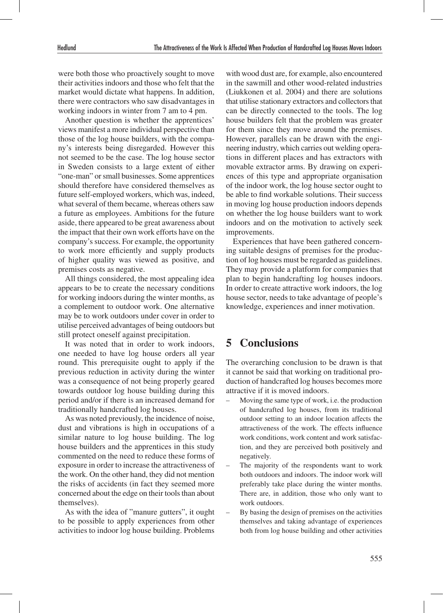were both those who proactively sought to move their activities indoors and those who felt that the market would dictate what happens. In addition, there were contractors who saw disadvantages in working indoors in winter from 7 am to 4 pm.

Another question is whether the apprentices' views manifest a more individual perspective than those of the log house builders, with the company's interests being disregarded. However this not seemed to be the case. The log house sector in Sweden consists to a large extent of either "one-man" or small businesses. Some apprentices should therefore have considered themselves as future self-employed workers, which was, indeed, what several of them became, whereas others saw a future as employees. Ambitions for the future aside, there appeared to be great awareness about the impact that their own work efforts have on the company's success. For example, the opportunity to work more efficiently and supply products of higher quality was viewed as positive, and premises costs as negative.

All things considered, the most appealing idea appears to be to create the necessary conditions for working indoors during the winter months, as a complement to outdoor work. One alternative may be to work outdoors under cover in order to utilise perceived advantages of being outdoors but still protect oneself against precipitation.

It was noted that in order to work indoors, one needed to have log house orders all year round. This prerequisite ought to apply if the previous reduction in activity during the winter was a consequence of not being properly geared towards outdoor log house building during this period and/or if there is an increased demand for traditionally handcrafted log houses.

As was noted previously, the incidence of noise, dust and vibrations is high in occupations of a similar nature to log house building. The log house builders and the apprentices in this study commented on the need to reduce these forms of exposure in order to increase the attractiveness of the work. On the other hand, they did not mention the risks of accidents (in fact they seemed more concerned about the edge on their tools than about themselves).

As with the idea of "manure gutters", it ought to be possible to apply experiences from other activities to indoor log house building. Problems with wood dust are, for example, also encountered in the sawmill and other wood-related industries (Liukkonen et al. 2004) and there are solutions that utilise stationary extractors and collectors that can be directly connected to the tools. The log house builders felt that the problem was greater for them since they move around the premises. However, parallels can be drawn with the engineering industry, which carries out welding operations in different places and has extractors with movable extractor arms. By drawing on experiences of this type and appropriate organisation of the indoor work, the log house sector ought to be able to find workable solutions. Their success in moving log house production indoors depends on whether the log house builders want to work indoors and on the motivation to actively seek improvements.

Experiences that have been gathered concerning suitable designs of premises for the production of log houses must be regarded as guidelines. They may provide a platform for companies that plan to begin handcrafting log houses indoors. In order to create attractive work indoors, the log house sector, needs to take advantage of people's knowledge, experiences and inner motivation.

### **5 Conclusions**

The overarching conclusion to be drawn is that it cannot be said that working on traditional production of handcrafted log houses becomes more attractive if it is moved indoors.

- Moving the same type of work, i.e. the production of handcrafted log houses, from its traditional outdoor setting to an indoor location affects the attractiveness of the work. The effects influence work conditions, work content and work satisfaction, and they are perceived both positively and negatively.
- The majority of the respondents want to work both outdoors and indoors. The indoor work will preferably take place during the winter months. There are, in addition, those who only want to work outdoors.
- By basing the design of premises on the activities themselves and taking advantage of experiences both from log house building and other activities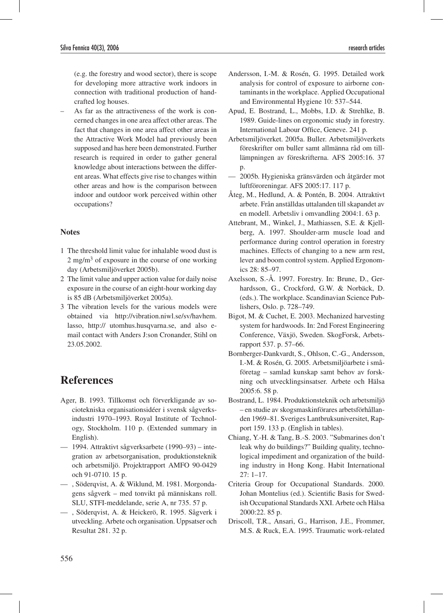(e.g. the forestry and wood sector), there is scope for developing more attractive work indoors in connection with traditional production of handcrafted log houses.

– As far as the attractiveness of the work is concerned changes in one area affect other areas. The fact that changes in one area affect other areas in the Attractive Work Model had previously been supposed and has here been demonstrated. Further research is required in order to gather general knowledge about interactions between the different areas. What effects give rise to changes within other areas and how is the comparison between indoor and outdoor work perceived within other occupations?

#### **Notes**

- 1 The threshold limit value for inhalable wood dust is 2 mg/m3 of exposure in the course of one working day (Arbetsmiljöverket 2005b).
- 2 The limit value and upper action value for daily noise exposure in the course of an eight-hour working day is 85 dB (Arbetsmiljöverket 2005a).
- 3 The vibration levels for the various models were obtained via http://vibration.niwl.se/sv/havhem. lasso, http:// utomhus.husqvarna.se, and also email contact with Anders J:son Cronander, Stihl on 23.05.2002.

# **References**

- Ager, B. 1993. Tillkomst och förverkligande av sociotekniska organisationsidéer i svensk sågverksindustri 1970–1993. Royal Institute of Technology, Stockholm. 110 p. (Extended summary in English).
- 1994. Attraktivt sågverksarbete (1990–93) integration av arbetsorganisation, produktionsteknik och arbetsmiljö. Projektrapport AMFO 90-0429 och 91-0710. 15 p.
- , Söderqvist, A. & Wiklund, M. 1981. Morgondagens sågverk – med tonvikt på människans roll. SLU, STFI-meddelande, serie A, nr 735. 57 p.
- , Söderqvist, A. & Heickerö, R. 1995. Sågverk i utveckling. Arbete och organisation. Uppsatser och Resultat 281. 32 p.
- Andersson, I.-M. & Rosén, G. 1995. Detailed work analysis for control of exposure to airborne contaminants in the workplace. Applied Occupational and Environmental Hygiene 10: 537–544.
- Apud, E. Bostrand, L., Mobbs, I.D. & Strehlke, B. 1989. Guide-lines on ergonomic study in forestry. International Labour Office, Geneve. 241 p.
- Arbetsmiljöverket. 2005a. Buller. Arbetsmiljöverkets föreskrifter om buller samt allmänna råd om tilllämpningen av föreskrifterna. AFS 2005:16. 37 p.
- 2005b. Hygieniska gränsvärden och åtgärder mot luftföroreningar. AFS 2005:17. 117 p.
- Åteg, M., Hedlund, A. & Pontén, B. 2004. Attraktivt arbete. Från anställdas uttalanden till skapandet av en modell. Arbetsliv i omvandling 2004:1. 63 p.
- Attebrant, M., Winkel, J., Mathiassen, S.E. & Kjellberg, A. 1997. Shoulder-arm muscle load and performance during control operation in forestry machines. Effects of changing to a new arm rest, lever and boom control system. Applied Ergonomics 28: 85–97.
- Axelsson, S.-Å. 1997. Forestry. In: Brune, D., Gerhardsson, G., Crockford, G.W. & Norbäck, D. (eds.). The workplace. Scandinavian Science Publishers, Oslo. p. 728–749.
- Bigot, M. & Cuchet, E. 2003. Mechanized harvesting system for hardwoods. In: 2nd Forest Engineering Conference, Växjö, Sweden. SkogForsk, Arbetsrapport 537. p. 57–66.
- Bornberger-Dankvardt, S., Ohlson, C.-G., Andersson, I.-M. & Rosén, G. 2005. Arbetsmiljöarbete i småföretag – samlad kunskap samt behov av forskning och utvecklingsinsatser. Arbete och Hälsa 2005:6. 58 p.
- Bostrand, L. 1984. Produktionsteknik och arbetsmiljö – en studie av skogsmaskinförares arbetsförhållanden 1969–81. Sveriges Lantbruksuniversitet, Rapport 159. 133 p. (English in tables).
- Chiang, Y.-H. & Tang, B.-S. 2003. "Submarines don't leak why do buildings?" Building quality, technological impediment and organization of the building industry in Hong Kong. Habit International 27: 1–17.
- Criteria Group for Occupational Standards. 2000. Johan Montelius (ed.). Scientific Basis for Swedish Occupational Standards XXI. Arbete och Hälsa 2000:22. 85 p.
- Driscoll, T.R., Ansari, G., Harrison, J.E., Frommer, M.S. & Ruck, E.A. 1995. Traumatic work-related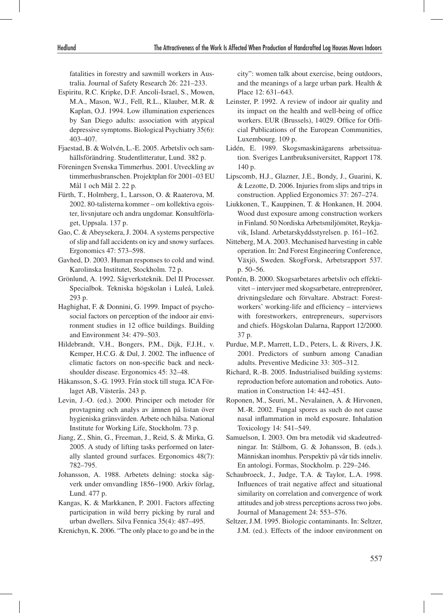fatalities in forestry and sawmill workers in Australia. Journal of Safety Research 26: 221–233.

- Espiritu, R.C. Kripke, D.F. Ancoli-Israel, S., Mowen, M.A., Mason, W.J., Fell, R.L., Klauber, M.R. & Kaplan, O.J. 1994. Low illumination experiences by San Diego adults: association with atypical depressive symptoms. Biological Psychiatry 35(6): 403–407.
- Fjaestad, B. & Wolvén, L.-E. 2005. Arbetsliv och samhällsförändring. Studentlitteratur, Lund. 382 p.
- Föreningen Svenska Timmerhus. 2001. Utveckling av timmerhusbranschen. Projektplan för 2001–03 EU Mål 1 och Mål 2. 22 p.
- Fürth, T., Holmberg, I., Larsson, O. & Raaterova, M. 2002. 80-talisterna kommer – om kollektiva egoister, livsnjutare och andra ungdomar. Konsultförlaget, Uppsala. 137 p.
- Gao, C. & Abeysekera, J. 2004. A systems perspective of slip and fall accidents on icy and snowy surfaces. Ergonomics 47: 573–598.
- Gavhed, D. 2003. Human responses to cold and wind. Karolinska Institutet, Stockholm. 72 p.
- Grönlund, A. 1992. Sågverksteknik. Del II Processer. Specialbok. Tekniska högskolan i Luleå, Luleå. 293 p.
- Haghighat, F. & Donnini, G. 1999. Impact of psychosocial factors on perception of the indoor air environment studies in 12 office buildings. Building and Environment 34: 479–503.
- Hildebrandt, V.H., Bongers, P.M., Dijk, F.J.H., v. Kemper, H.C.G. & Dul, J. 2002. The influence of climatic factors on non-specific back and neckshoulder disease. Ergonomics 45: 32–48.
- Håkansson, S.-G. 1993. Från stock till stuga. ICA Förlaget AB, Västerås. 243 p.
- Levin, J.-O. (ed.). 2000. Principer och metoder för provtagning och analys av ämnen på listan över hygieniska gränsvärden. Arbete och hälsa. National Institute for Working Life, Stockholm. 73 p.
- Jiang, Z., Shin, G., Freeman, J., Reid, S. & Mirka, G. 2005. A study of lifting tasks performed on laterally slanted ground surfaces. Ergonomics 48(7): 782–795.
- Johansson, A. 1988. Arbetets delning: stocka sågverk under omvandling 1856–1900. Arkiv förlag, Lund. 477 p.
- Kangas, K. & Markkanen, P. 2001. Factors affecting participation in wild berry picking by rural and urban dwellers. Silva Fennica 35(4): 487–495.
- Krenichyn, K. 2006. "The only place to go and be in the

city": women talk about exercise, being outdoors, and the meanings of a large urban park. Health & Place 12: 631–643.

- Leinster, P. 1992. A review of indoor air quality and its impact on the health and well-being of office workers. EUR (Brussels), 14029. Office for Official Publications of the European Communities, Luxembourg. 109 p.
- Lidén, E. 1989. Skogsmaskinägarens arbetssituation. Sveriges Lantbruksuniversitet, Rapport 178. 140 p.
- Lipscomb, H.J., Glazner, J.E., Bondy, J., Guarini, K. & Lezotte, D. 2006. Injuries from slips and trips in construction. Applied Ergonomics 37: 267–274.
- Liukkonen, T., Kauppinen, T. & Honkanen, H. 2004. Wood dust exposure among construction workers in Finland. 50 Nordiska Arbetsmiljömötet, Reykjavik, Island. Arbetarskyddsstyrelsen. p. 161–162.
- Nitteberg, M.A. 2003. Mechanised harvesting in cable operation. In: 2nd Forest Engineering Conference, Växjö, Sweden. SkogForsk, Arbetsrapport 537. p. 50–56.
- Pontén, B. 2000. Skogsarbetares arbetsliv och effektivitet – intervjuer med skogsarbetare, entreprenörer, drivningsledare och förvaltare. Abstract: Forestworkers' working-life and efficiency – interviews with forestworkers, entrepreneurs, supervisors and chiefs. Högskolan Dalarna, Rapport 12/2000. 37 p.
- Purdue, M.P., Marrett, L.D., Peters, L. & Rivers, J.K. 2001. Predictors of sunburn among Canadian adults. Preventive Medicine 33: 305–312.
- Richard, R.-B. 2005. Industrialised building systems: reproduction before automation and robotics. Automation in Construction 14: 442–451.
- Roponen, M., Seuri, M., Nevalainen, A. & Hirvonen, M.-R. 2002. Fungal spores as such do not cause nasal inflammation in mold exposure. Inhalation Toxicology 14: 541–549.
- Samuelson, I. 2003. Om bra metodik vid skadeutredningar. In: Stålbom, G. & Johansson, B. (eds.). Människan inomhus. Perspektiv på vår tids inneliv. En antologi. Formas, Stockholm. p. 229–246.
- Schaubroeck, J., Judge, T.A. & Taylor, L.A. 1998. Influences of trait negative affect and situational similarity on correlation and convergence of work attitudes and job stress perceptions across two jobs. Journal of Management 24: 553–576.
- Seltzer, J.M. 1995. Biologic contaminants. In: Seltzer, J.M. (ed.). Effects of the indoor environment on